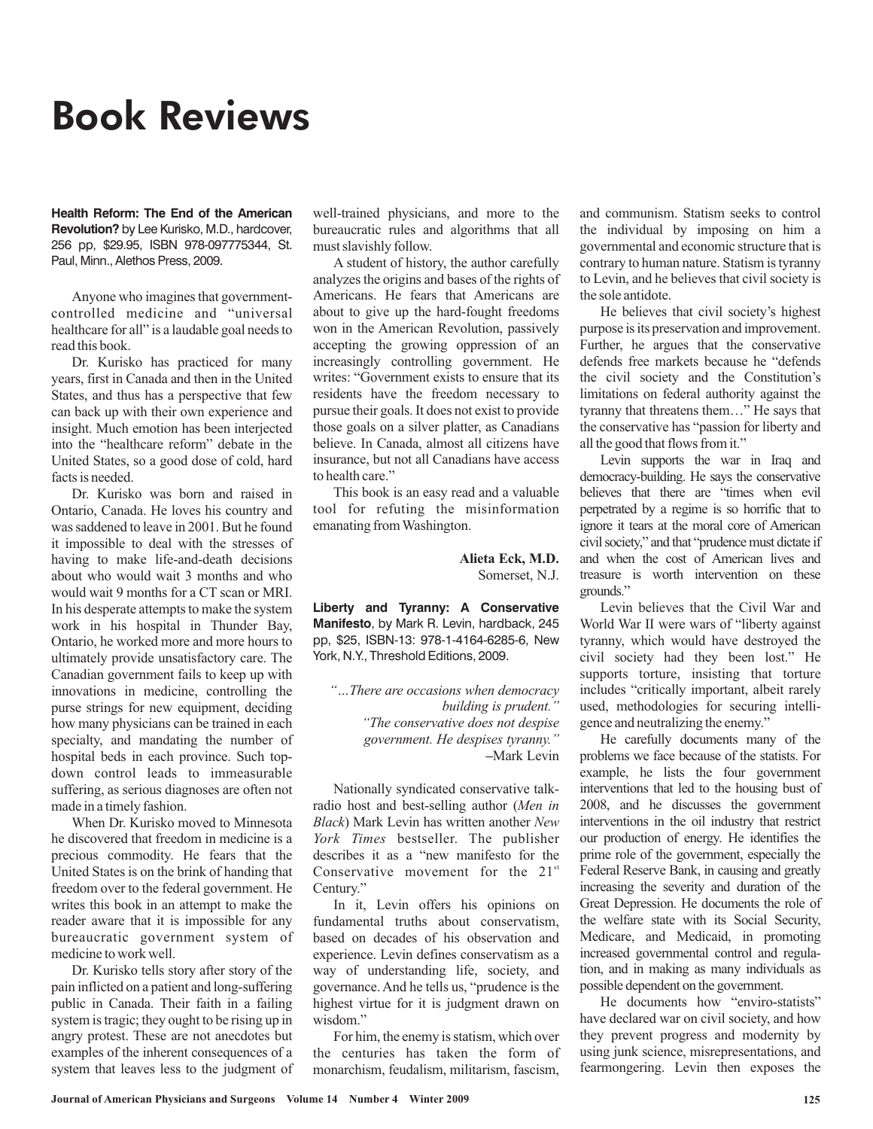## Book Reviews

**Health Reform: The End of the American Revolution?** by Lee Kurisko, M.D., hardcover, 256 pp, \$29.95, ISBN 978-097775344, St. Paul, Minn., Alethos Press, 2009.

Anyone who imagines that governmentcontrolled medicine and "universal healthcare for all" is a laudable goal needs to read this book.

Dr. Kurisko has practiced for many years, first in Canada and then in the United States, and thus has a perspective that few can back up with their own experience and insight. Much emotion has been interjected into the "healthcare reform" debate in the United States, so a good dose of cold, hard facts is needed.

Dr. Kurisko was born and raised in Ontario, Canada. He loves his country and was saddened to leave in 2001. But he found it impossible to deal with the stresses of having to make life-and-death decisions about who would wait 3 months and who would wait 9 months for a CT scan or MRI. In his desperate attempts to make the system work in his hospital in Thunder Bay, Ontario, he worked more and more hours to ultimately provide unsatisfactory care. The Canadian government fails to keep up with innovations in medicine, controlling the purse strings for new equipment, deciding how many physicians can be trained in each specialty, and mandating the number of hospital beds in each province. Such topdown control leads to immeasurable suffering, as serious diagnoses are often not made in a timely fashion.

When Dr. Kurisko moved to Minnesota he discovered that freedom in medicine is a precious commodity. He fears that the United States is on the brink of handing that freedom over to the federal government. He writes this book in an attempt to make the reader aware that it is impossible for any bureaucratic government system of medicine to work well.

Dr. Kurisko tells story after story of the pain inflicted on a patient and long-suffering public in Canada. Their faith in a failing system is tragic; they ought to be rising up in angry protest. These are not anecdotes but examples of the inherent consequences of a system that leaves less to the judgment of well-trained physicians, and more to the bureaucratic rules and algorithms that all must slavishly follow.

A student of history, the author carefully analyzes the origins and bases of the rights of Americans. He fears that Americans are about to give up the hard-fought freedoms won in the American Revolution, passively accepting the growing oppression of an increasingly controlling government. He writes: "Government exists to ensure that its residents have the freedom necessary to pursue their goals. It does not exist to provide those goals on a silver platter, as Canadians believe. In Canada, almost all citizens have insurance, but not all Canadians have access to health care."

This book is an easy read and a valuable tool for refuting the misinformation emanating from Washington.

> Somerset, N.J. **Alieta Eck, M.D.**

**Liberty and Tyranny: A Conservative Manifesto**, by Mark R. Levin, hardback, 245 pp, \$25, ISBN-13: 978-1-4164-6285-6, New York, N.Y., Threshold Editions, 2009.

Mark Levin **–** *"…There are occasions when democracy building is prudent." "The conservative does not despise government. He despises tyranny."*

Nationally syndicated conservative talkradio host and best-selling author ( *Men in* ) Mark Levin has written another *Black New* York Times bestseller. The publisher describes it as a "new manifesto for the Conservative movement for the  $21^{st}$ Century."

In it, Levin offers his opinions on fundamental truths about conservatism, based on decades of his observation and experience. Levin defines conservatism as a way of understanding life, society, and governance. And he tells us, "prudence is the highest virtue for it is judgment drawn on wisdom."

For him, the enemy is statism, which over the centuries has taken the form of monarchism, feudalism, militarism, fascism,

and communism. Statism seeks to control the individual by imposing on him a governmental and economic structure that is contrary to human nature. Statism is tyranny to Levin, and he believes that civil society is the sole antidote.

He believes that civil society's highest purpose is its preservation and improvement. Further, he argues that the conservative defends free markets because he "defends the civil society and the Constitution's limitations on federal authority against the tyranny that threatens them…" He says that the conservative has "passion for liberty and all the good that flows from it."

Levin supports the war in Iraq and democracy-building. He says the conservative believes that there are "times when evil perpetrated by a regime is so horrific that to ignore it tears at the moral core of American civil society," and that "prudence must dictate if and when the cost of American lives and treasure is worth intervention on these grounds."

Levin believes that the Civil War and World War II were wars of "liberty against tyranny, which would have destroyed the civil society had they been lost." He supports torture, insisting that torture includes "critically important, albeit rarely used, methodologies for securing intelligence and neutralizing the enemy."

He carefully documents many of the problems we face because of the statists. For example, he lists the four government interventions that led to the housing bust of 2008, and he discusses the government interventions in the oil industry that restrict our production of energy. He identifies the prime role of the government, especially the Federal Reserve Bank, in causing and greatly increasing the severity and duration of the Great Depression. He documents the role of the welfare state with its Social Security, Medicare, and Medicaid, in promoting increased governmental control and regulation, and in making as many individuals as possible dependent on the government.

He documents how "enviro-statists" have declared war on civil society, and how they prevent progress and modernity by using junk science, misrepresentations, and fearmongering. Levin then exposes the